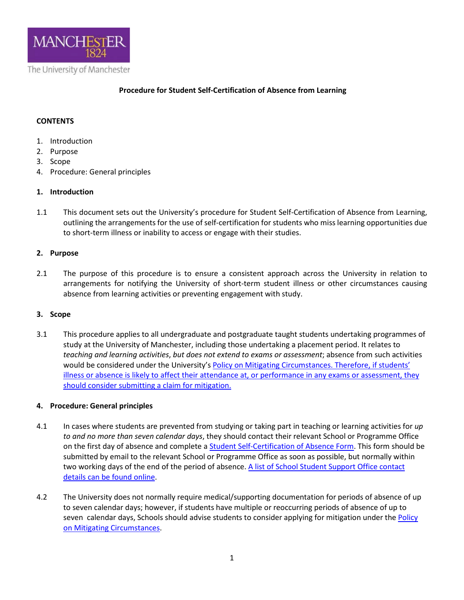

## **Procedure for Student Self-Certification of Absence from Learning**

# **CONTENTS**

- 1. Introduction
- 2. Purpose
- 3. Scope
- 4. Procedure: General principles

### **1. Introduction**

1.1 This document sets out the University's procedure for Student Self-Certification of Absence from Learning, outlining the arrangements for the use of self-certification for students who miss learning opportunities due to short-term illness or inability to access or engage with their studies.

### **2. Purpose**

2.1 The purpose of this procedure is to ensure a consistent approach across the University in relation to arrangements for notifying the University of short-term student illness or other circumstances causing absence from learning activities or preventing engagement with study.

### **3. Scope**

3.1 This procedure applies to all undergraduate and postgraduate taught students undertaking programmes of study at the University of Manchester, including those undertaking a placement period. It relates to *teaching and learning activities*, *but does not extend to exams or assessment*; absence from such activities would be considered under the University'[s Policy on Mitigating Circumstances.](https://www.staffnet.manchester.ac.uk/tlso/policy-guidance/assessment/reaching-decisions-from-assessment/mitigating-circumstances/) Therefore, if students' illness or absence is likely to affect their attendance at, or performance in any exams or assessment, they should consider submitting a claim for mitigation.

### **4. Procedure: General principles**

- 4.1 In cases where students are prevented from studying or taking part in teaching or learning activities for *up to and no more than seven calendar days*, they should contact their relevant School or Programme Office on the first day of absence and complete a [Student Self-Certification of Absence Form.](http://documents.manchester.ac.uk/display.aspx?DocID=48680) This form should be submitted by email to the relevant School or Programme Office as soon as possible, but normally within two working days of the end of the period of absence[. A list of School Student Support Office contact](https://www.studentsupport.manchester.ac.uk/uni-services-az/school-support/)  [details can be found online.](https://www.studentsupport.manchester.ac.uk/uni-services-az/school-support/)
- 4.2 The University does not normally require medical/supporting documentation for periods of absence of up to seven calendar days; however, if students have multiple or reoccurring periods of absence of up to seven calendar days, Schools should advise students to consider applying for mitigation under the Policy [on Mitigating Circumstances.](https://www.staffnet.manchester.ac.uk/tlso/policy-guidance/assessment/reaching-decisions-from-assessment/mitigating-circumstances/)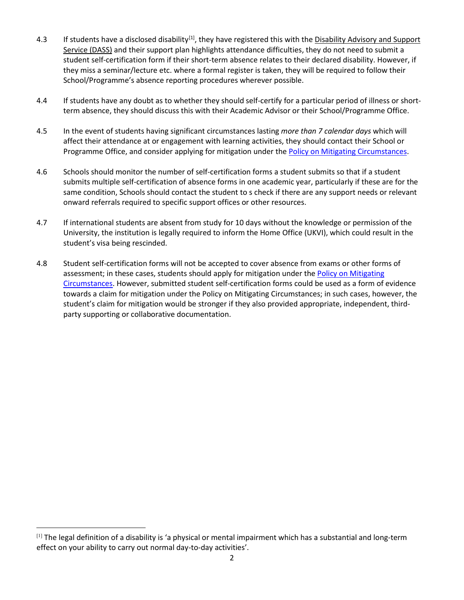- 4.3 If students have a disclosed disability<sup>[\[1\]](#page-1-0)</sup>, they have registered this with the Disability Advisory and Support [Service \(DASS\)](http://www.dso.manchester.ac.uk/) and their support plan highlights attendance difficulties, they do not need to submit a student self-certification form if their short-term absence relates to their declared disability. However, if they miss a seminar/lecture etc. where a formal register is taken, they will be required to follow their School/Programme's absence reporting procedures wherever possible.
- 4.4 If students have any doubt as to whether they should self-certify for a particular period of illness or shortterm absence, they should discuss this with their Academic Advisor or their School/Programme Office.
- 4.5 In the event of students having significant circumstances lasting *more than 7 calendar days* which will affect their attendance at or engagement with learning activities, they should contact their School or Programme Office, and consider applying for mitigation under the [Policy on Mitigating Circumstances.](https://www.staffnet.manchester.ac.uk/tlso/policy-guidance/assessment/reaching-decisions-from-assessment/mitigating-circumstances/)
- 4.6 Schools should monitor the number of self-certification forms a student submits so that if a student submits multiple self-certification of absence forms in one academic year, particularly if these are for the same condition, Schools should contact the student to s check if there are any support needs or relevant onward referrals required to specific support offices or other resources.
- 4.7 If international students are absent from study for 10 days without the knowledge or permission of the University, the institution is legally required to inform the Home Office (UKVI), which could result in the student's visa being rescinded.
- 4.8 Student self-certification forms will not be accepted to cover absence from exams or other forms of assessment; in these cases, students should apply for mitigation under the [Policy on Mitigating](https://www.staffnet.manchester.ac.uk/tlso/policy-guidance/assessment/reaching-decisions-from-assessment/mitigating-circumstances/)  [Circumstances.](https://www.staffnet.manchester.ac.uk/tlso/policy-guidance/assessment/reaching-decisions-from-assessment/mitigating-circumstances/) However, submitted student self-certification forms could be used as a form of evidence towards a claim for mitigation under the Policy on Mitigating Circumstances; in such cases, however, the student's claim for mitigation would be stronger if they also provided appropriate, independent, thirdparty supporting or collaborative documentation.

<span id="page-1-0"></span><sup>[1]</sup> The legal definition of a disability is 'a physical or mental impairment which has a substantial and long-term effect on your ability to carry out normal day-to-day activities'.